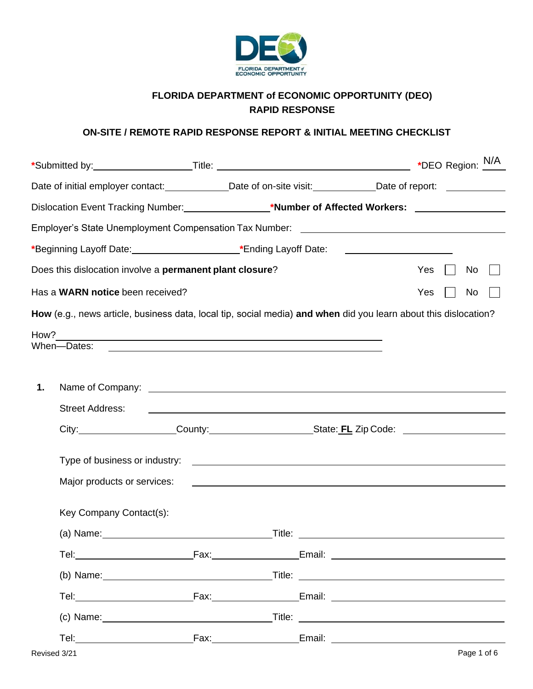

## **FLORIDA DEPARTMENT of ECONOMIC OPPORTUNITY (DEO) RAPID RESPONSE**

## **ON-SITE / REMOTE RAPID RESPONSE REPORT & INITIAL MEETING CHECKLIST**

|    | Date of initial employer contact: _____________Date of on-site visit: ___________Date of report: ____________                                                                                                                        |                                                                   |                                                                                                                        |  |  |     |  |    |  |  |
|----|--------------------------------------------------------------------------------------------------------------------------------------------------------------------------------------------------------------------------------------|-------------------------------------------------------------------|------------------------------------------------------------------------------------------------------------------------|--|--|-----|--|----|--|--|
|    | Dislocation Event Tracking Number: _________________*Number of Affected Workers: __________________                                                                                                                                  |                                                                   |                                                                                                                        |  |  |     |  |    |  |  |
|    | Employer's State Unemployment Compensation Tax Number: __________________________                                                                                                                                                    |                                                                   |                                                                                                                        |  |  |     |  |    |  |  |
|    | *Beginning Layoff Date: 1990 [19] Materian Care and Theorem 2011 [19] Materian Care and Theorem 2011 [19] Mate                                                                                                                       |                                                                   |                                                                                                                        |  |  |     |  |    |  |  |
|    | Does this dislocation involve a permanent plant closure?                                                                                                                                                                             |                                                                   |                                                                                                                        |  |  | Yes |  | No |  |  |
|    | Has a WARN notice been received?                                                                                                                                                                                                     |                                                                   |                                                                                                                        |  |  | Yes |  | No |  |  |
|    | How (e.g., news article, business data, local tip, social media) and when did you learn about this dislocation?                                                                                                                      |                                                                   |                                                                                                                        |  |  |     |  |    |  |  |
|    | How?                                                                                                                                                                                                                                 |                                                                   |                                                                                                                        |  |  |     |  |    |  |  |
|    | When-Dates:                                                                                                                                                                                                                          |                                                                   | <u> 1989 - Johann Stoff, deutscher Stoffen und der Stoffen und der Stoffen und der Stoffen und der Stoffen und der</u> |  |  |     |  |    |  |  |
|    |                                                                                                                                                                                                                                      |                                                                   |                                                                                                                        |  |  |     |  |    |  |  |
| 1. | Name of Company: <u>contract the companies of the contract of the contract of the contract of the contract of the contract of the contract of the contract of the contract of the contract of the contract of the contract of th</u> |                                                                   |                                                                                                                        |  |  |     |  |    |  |  |
|    | <b>Street Address:</b>                                                                                                                                                                                                               | <u> 1990 - Johann John Stone, Amerikaansk politiker (</u> † 1902) |                                                                                                                        |  |  |     |  |    |  |  |
|    |                                                                                                                                                                                                                                      |                                                                   |                                                                                                                        |  |  |     |  |    |  |  |
|    |                                                                                                                                                                                                                                      |                                                                   |                                                                                                                        |  |  |     |  |    |  |  |
|    |                                                                                                                                                                                                                                      |                                                                   |                                                                                                                        |  |  |     |  |    |  |  |
|    | Major products or services:                                                                                                                                                                                                          |                                                                   | <u> 1989 - Johann John Stein, fransk politik (f. 1989)</u>                                                             |  |  |     |  |    |  |  |
|    | Key Company Contact(s):                                                                                                                                                                                                              |                                                                   |                                                                                                                        |  |  |     |  |    |  |  |
|    |                                                                                                                                                                                                                                      |                                                                   |                                                                                                                        |  |  |     |  |    |  |  |
|    |                                                                                                                                                                                                                                      |                                                                   |                                                                                                                        |  |  |     |  |    |  |  |
|    |                                                                                                                                                                                                                                      |                                                                   |                                                                                                                        |  |  |     |  |    |  |  |
|    |                                                                                                                                                                                                                                      |                                                                   |                                                                                                                        |  |  |     |  |    |  |  |
|    |                                                                                                                                                                                                                                      |                                                                   |                                                                                                                        |  |  |     |  |    |  |  |
|    |                                                                                                                                                                                                                                      |                                                                   |                                                                                                                        |  |  |     |  |    |  |  |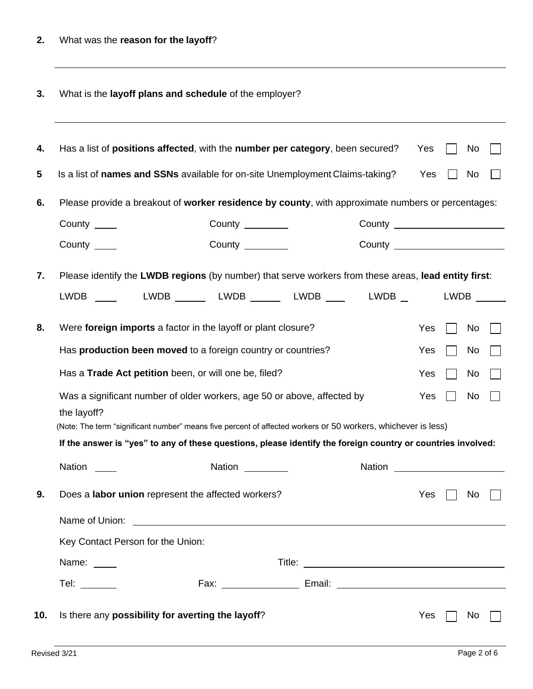| 3. |  |  |  | What is the layoff plans and schedule of the employer? |
|----|--|--|--|--------------------------------------------------------|
|----|--|--|--|--------------------------------------------------------|

|                                                              |                                                   | Has a list of positions affected, with the number per category, been secured?                                                                                                                                                  |  |  |                                                 | Yes |  | No   |  |
|--------------------------------------------------------------|---------------------------------------------------|--------------------------------------------------------------------------------------------------------------------------------------------------------------------------------------------------------------------------------|--|--|-------------------------------------------------|-----|--|------|--|
|                                                              |                                                   | Is a list of names and SSNs available for on-site Unemployment Claims-taking?                                                                                                                                                  |  |  |                                                 | Yes |  | No.  |  |
|                                                              |                                                   | Please provide a breakout of worker residence by county, with approximate numbers or percentages:                                                                                                                              |  |  |                                                 |     |  |      |  |
| County $\_\_\_\_\$                                           |                                                   | County $\_\_\_\_\_\_\_\_\_\_\_\_$                                                                                                                                                                                              |  |  |                                                 |     |  |      |  |
| County _____                                                 |                                                   | County ________                                                                                                                                                                                                                |  |  | County <u>_________________________________</u> |     |  |      |  |
|                                                              |                                                   | Please identify the LWDB regions (by number) that serve workers from these areas, lead entity first:                                                                                                                           |  |  |                                                 |     |  |      |  |
|                                                              |                                                   | LWDB _____  LWDB ______ LWDB ______ LWDB ____  LWDB __                                                                                                                                                                         |  |  |                                                 |     |  | LWDB |  |
|                                                              |                                                   | Were foreign imports a factor in the layoff or plant closure?                                                                                                                                                                  |  |  |                                                 | Yes |  | No   |  |
| Has production been moved to a foreign country or countries? |                                                   |                                                                                                                                                                                                                                |  |  |                                                 | Yes |  | No   |  |
|                                                              |                                                   | Has a Trade Act petition been, or will one be, filed?                                                                                                                                                                          |  |  |                                                 | Yes |  | No   |  |
| the layoff?                                                  |                                                   | Was a significant number of older workers, age 50 or above, affected by                                                                                                                                                        |  |  |                                                 | Yes |  | No   |  |
|                                                              |                                                   | (Note: The term "significant number" means five percent of affected workers or 50 workers, whichever is less)                                                                                                                  |  |  |                                                 |     |  |      |  |
|                                                              |                                                   | If the answer is "yes" to any of these questions, please identify the foreign country or countries involved:                                                                                                                   |  |  |                                                 |     |  |      |  |
| <b>Nation</b>                                                |                                                   | Nation                                                                                                                                                                                                                         |  |  | Nation                                          |     |  |      |  |
|                                                              |                                                   | Does a labor union represent the affected workers?                                                                                                                                                                             |  |  |                                                 | Yes |  | No.  |  |
|                                                              |                                                   | Name of Union: The Contract of Contract of Contract of Contract of Contract of Contract of Contract of Contract of Contract of Contract of Contract of Contract of Contract of Contract of Contract of Contract of Contract of |  |  |                                                 |     |  |      |  |
| Key Contact Person for the Union:                            |                                                   |                                                                                                                                                                                                                                |  |  |                                                 |     |  |      |  |
| Name: ____                                                   |                                                   |                                                                                                                                                                                                                                |  |  |                                                 |     |  |      |  |
| Tel: $\_\_$                                                  |                                                   |                                                                                                                                                                                                                                |  |  |                                                 |     |  |      |  |
|                                                              | Is there any possibility for averting the layoff? |                                                                                                                                                                                                                                |  |  |                                                 | Yes |  | No.  |  |
|                                                              |                                                   |                                                                                                                                                                                                                                |  |  |                                                 |     |  |      |  |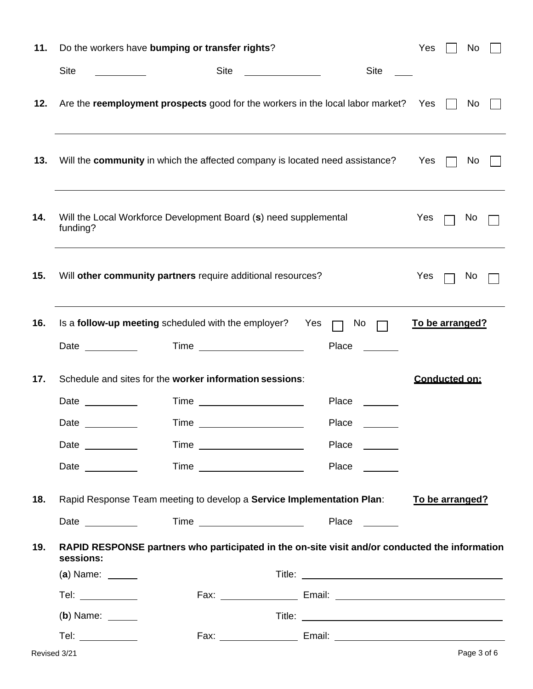| 11. |                                                                                                                 | Do the workers have bumping or transfer rights?                                                |              | Yes             | No          |  |
|-----|-----------------------------------------------------------------------------------------------------------------|------------------------------------------------------------------------------------------------|--------------|-----------------|-------------|--|
|     | <b>Site</b>                                                                                                     | <b>Site</b>                                                                                    | <b>Site</b>  |                 |             |  |
| 12. |                                                                                                                 | Are the reemployment prospects good for the workers in the local labor market? Yes             |              |                 | No.         |  |
| 13. |                                                                                                                 | Will the community in which the affected company is located need assistance?                   |              | Yes $\Box$      | No          |  |
| 14. | funding?                                                                                                        | Will the Local Workforce Development Board (s) need supplemental                               |              | Yes             | No.         |  |
| 15. |                                                                                                                 | Will other community partners require additional resources?                                    |              | Yes             | No.         |  |
| 16. |                                                                                                                 | Is a follow-up meeting scheduled with the employer? Yes                                        | No           | To be arranged? |             |  |
|     |                                                                                                                 | <b>Time <i>Company</i></b>                                                                     | <b>Place</b> |                 |             |  |
| 17. |                                                                                                                 | Schedule and sites for the worker information sessions:                                        |              | Conducted on:   |             |  |
|     | Date and the state of the state of the state of the state of the state of the state of the state of the state o |                                                                                                | Place        |                 |             |  |
|     | Date                                                                                                            |                                                                                                | Place        |                 |             |  |
|     | Date $\_\_\_\_\_\_\_\_\_\_\_\_\_\_\_\_$                                                                         |                                                                                                | <b>Place</b> |                 |             |  |
|     | Date and the state of the state of the state of the state of the state of the state of the state of the state o |                                                                                                | <b>Place</b> |                 |             |  |
| 18. |                                                                                                                 | Rapid Response Team meeting to develop a Service Implementation Plan:                          |              | To be arranged? |             |  |
|     | Date $\frac{1}{2}$                                                                                              |                                                                                                |              |                 |             |  |
| 19. | sessions:                                                                                                       | RAPID RESPONSE partners who participated in the on-site visit and/or conducted the information |              |                 |             |  |
|     | $(a)$ Name: $\_\_$                                                                                              |                                                                                                |              |                 |             |  |
|     |                                                                                                                 |                                                                                                |              |                 |             |  |
|     | $(b)$ Name: $\_\_$                                                                                              |                                                                                                |              |                 |             |  |
|     | Tel: $\qquad \qquad$                                                                                            |                                                                                                |              |                 |             |  |
|     | Revised 3/21                                                                                                    |                                                                                                |              |                 | Page 3 of 6 |  |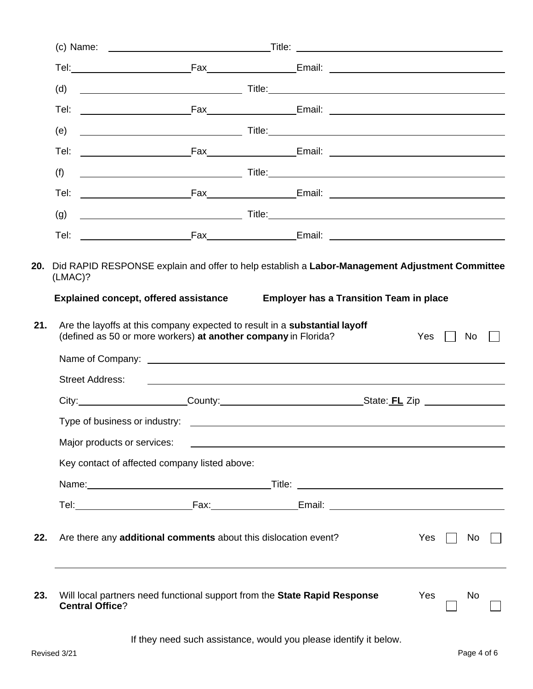|     | (d)                                                                                                                                                                                                                           |                                                                                                                         |  |     |    |  |
|-----|-------------------------------------------------------------------------------------------------------------------------------------------------------------------------------------------------------------------------------|-------------------------------------------------------------------------------------------------------------------------|--|-----|----|--|
|     | Tel:                                                                                                                                                                                                                          |                                                                                                                         |  |     |    |  |
|     | (e)                                                                                                                                                                                                                           |                                                                                                                         |  |     |    |  |
|     |                                                                                                                                                                                                                               |                                                                                                                         |  |     |    |  |
|     | (f)<br><u>ne de la contrada de la contrada de la contrada de la contrada de la contrada de la contrada de la contrada d</u>                                                                                                   |                                                                                                                         |  |     |    |  |
|     |                                                                                                                                                                                                                               |                                                                                                                         |  |     |    |  |
|     | (g)                                                                                                                                                                                                                           |                                                                                                                         |  |     |    |  |
|     |                                                                                                                                                                                                                               |                                                                                                                         |  |     |    |  |
|     | (defined as 50 or more workers) at another company in Florida?<br><b>Street Address:</b>                                                                                                                                      | <u> 1989 - Johann Harry Harry Harry Harry Harry Harry Harry Harry Harry Harry Harry Harry Harry Harry Harry Harry H</u> |  | Yes | No |  |
|     | City: City: County: County: County: County: City: City: City: City: City: City: City: County: County: County: County: County: City: City: City: City: City: City: City: City: City: City: City: City: City: City: City: City: |                                                                                                                         |  |     |    |  |
|     |                                                                                                                                                                                                                               |                                                                                                                         |  |     |    |  |
|     | Major products or services:                                                                                                                                                                                                   |                                                                                                                         |  |     |    |  |
|     | Key contact of affected company listed above:                                                                                                                                                                                 |                                                                                                                         |  |     |    |  |
|     |                                                                                                                                                                                                                               |                                                                                                                         |  |     |    |  |
|     |                                                                                                                                                                                                                               |                                                                                                                         |  |     |    |  |
| 22. | Are there any additional comments about this dislocation event?                                                                                                                                                               |                                                                                                                         |  | Yes | No |  |
|     |                                                                                                                                                                                                                               |                                                                                                                         |  |     |    |  |

If they need such assistance, would you please identify it below.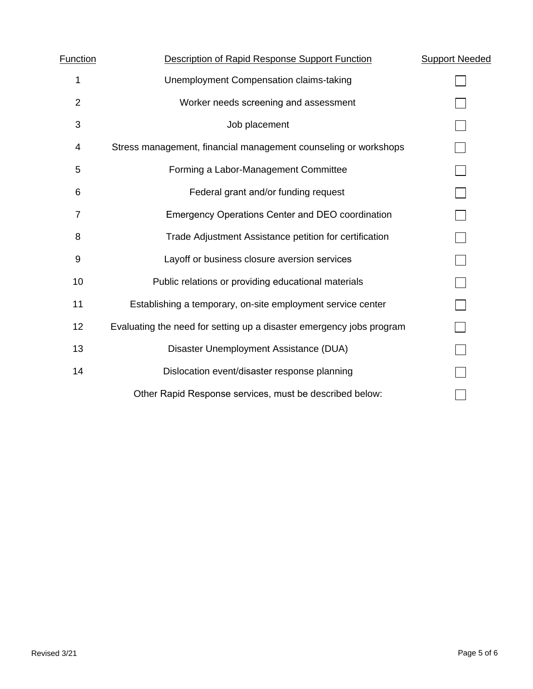| Function       | Description of Rapid Response Support Function                       | <b>Support Needed</b> |
|----------------|----------------------------------------------------------------------|-----------------------|
| 1              | Unemployment Compensation claims-taking                              |                       |
| $\overline{2}$ | Worker needs screening and assessment                                |                       |
| 3              | Job placement                                                        |                       |
| 4              | Stress management, financial management counseling or workshops      |                       |
| 5              | Forming a Labor-Management Committee                                 |                       |
| 6              | Federal grant and/or funding request                                 |                       |
| $\overline{7}$ | <b>Emergency Operations Center and DEO coordination</b>              |                       |
| 8              | Trade Adjustment Assistance petition for certification               |                       |
| 9              | Layoff or business closure aversion services                         |                       |
| 10             | Public relations or providing educational materials                  |                       |
| 11             | Establishing a temporary, on-site employment service center          |                       |
| 12             | Evaluating the need for setting up a disaster emergency jobs program |                       |
| 13             | Disaster Unemployment Assistance (DUA)                               |                       |
| 14             | Dislocation event/disaster response planning                         |                       |
|                | Other Rapid Response services, must be described below:              |                       |